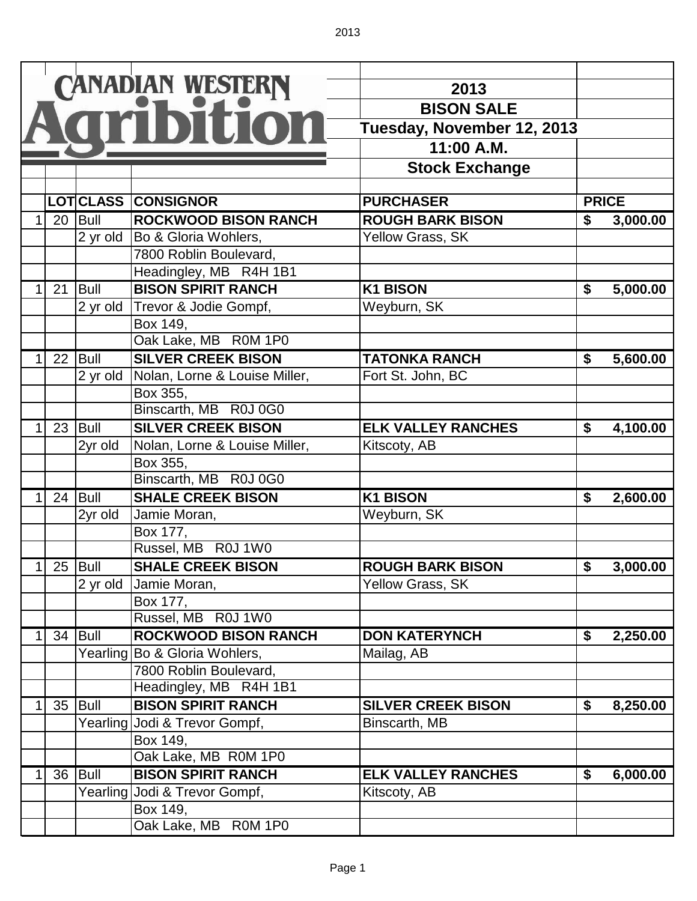|   |           |            | CANADIAN WESTERN              | 2013<br><b>BISON SALE</b><br>Tuesday, November 12, 2013<br>11:00 A.M.<br><b>Stock Exchange</b> |                                  |              |
|---|-----------|------------|-------------------------------|------------------------------------------------------------------------------------------------|----------------------------------|--------------|
|   |           |            | LOTCLLASS CONSIGNOR           | <b>PURCHASER</b>                                                                               |                                  | <b>PRICE</b> |
| 1 |           | $20$ Bull  | <b>ROCKWOOD BISON RANCH</b>   | <b>ROUGH BARK BISON</b>                                                                        | \$                               | 3,000.00     |
|   |           | 2 yr old   | Bo & Gloria Wohlers,          | Yellow Grass, SK                                                                               |                                  |              |
|   |           |            | 7800 Roblin Boulevard,        |                                                                                                |                                  |              |
|   |           |            | Headingley, MB R4H 1B1        |                                                                                                |                                  |              |
|   | 21        | Bull       | <b>BISON SPIRIT RANCH</b>     | <b>K1 BISON</b>                                                                                | \$                               | 5,000.00     |
|   |           | 2 yr old   | Trevor & Jodie Gompf,         | Weyburn, SK                                                                                    |                                  |              |
|   |           |            | Box 149,                      |                                                                                                |                                  |              |
|   |           |            | Oak Lake, MB R0M 1P0          |                                                                                                |                                  |              |
|   |           | 22 Bull    | <b>SILVER CREEK BISON</b>     | <b>TATONKA RANCH</b>                                                                           | \$                               | 5,600.00     |
|   |           | 2 yr old   | Nolan, Lorne & Louise Miller, | Fort St. John, BC                                                                              |                                  |              |
|   |           |            | Box 355,                      |                                                                                                |                                  |              |
|   |           |            | Binscarth, MB R0J 0G0         |                                                                                                |                                  |              |
|   |           | $23$ Bull  | <b>SILVER CREEK BISON</b>     | <b>ELK VALLEY RANCHES</b>                                                                      | \$                               | 4,100.00     |
|   |           | 2yr old    | Nolan, Lorne & Louise Miller, | Kitscoty, AB                                                                                   |                                  |              |
|   |           |            | Box 355,                      |                                                                                                |                                  |              |
|   |           |            | Binscarth, MB R0J 0G0         |                                                                                                |                                  |              |
|   | 24        | Bull       | <b>SHALE CREEK BISON</b>      | <b>K1 BISON</b>                                                                                | \$                               | 2,600.00     |
|   |           | 2yr old    | Jamie Moran,                  | Weyburn, SK                                                                                    |                                  |              |
|   |           |            | Box 177,                      |                                                                                                |                                  |              |
|   |           |            | Russel, MB R0J 1W0            |                                                                                                |                                  |              |
|   | 1 25 Bull |            | <b>SHALE CREEK BISON</b>      | <b>ROUGH BARK BISON</b>                                                                        | $\overline{\boldsymbol{\theta}}$ | 3,000.00     |
|   |           | 2 yr old   | Jamie Moran,                  | <b>Yellow Grass, SK</b>                                                                        |                                  |              |
|   |           |            | Box 177,                      |                                                                                                |                                  |              |
|   |           |            | Russel, MB R0J 1W0            |                                                                                                |                                  |              |
|   |           | 34 $ Bu  $ | <b>ROCKWOOD BISON RANCH</b>   | <b>DON KATERYNCH</b>                                                                           | \$                               | 2,250.00     |
|   |           | Yearling   | Bo & Gloria Wohlers,          | Mailag, AB                                                                                     |                                  |              |
|   |           |            | 7800 Roblin Boulevard,        |                                                                                                |                                  |              |
|   |           |            | Headingley, MB R4H 1B1        |                                                                                                |                                  |              |
|   |           | $35$ Bull  | <b>BISON SPIRIT RANCH</b>     | <b>SILVER CREEK BISON</b>                                                                      | \$                               | 8,250.00     |
|   |           |            | Yearling Jodi & Trevor Gompf, | Binscarth, MB                                                                                  |                                  |              |
|   |           |            | Box 149,                      |                                                                                                |                                  |              |
|   |           |            | Oak Lake, MB R0M 1P0          |                                                                                                |                                  |              |
|   | 36        | Bull       | <b>BISON SPIRIT RANCH</b>     | <b>ELK VALLEY RANCHES</b>                                                                      | \$                               | 6,000.00     |
|   |           | Yearling   | Jodi & Trevor Gompf,          | Kitscoty, AB                                                                                   |                                  |              |
|   |           |            | Box 149,                      |                                                                                                |                                  |              |
|   |           |            | Oak Lake, MB R0M 1P0          |                                                                                                |                                  |              |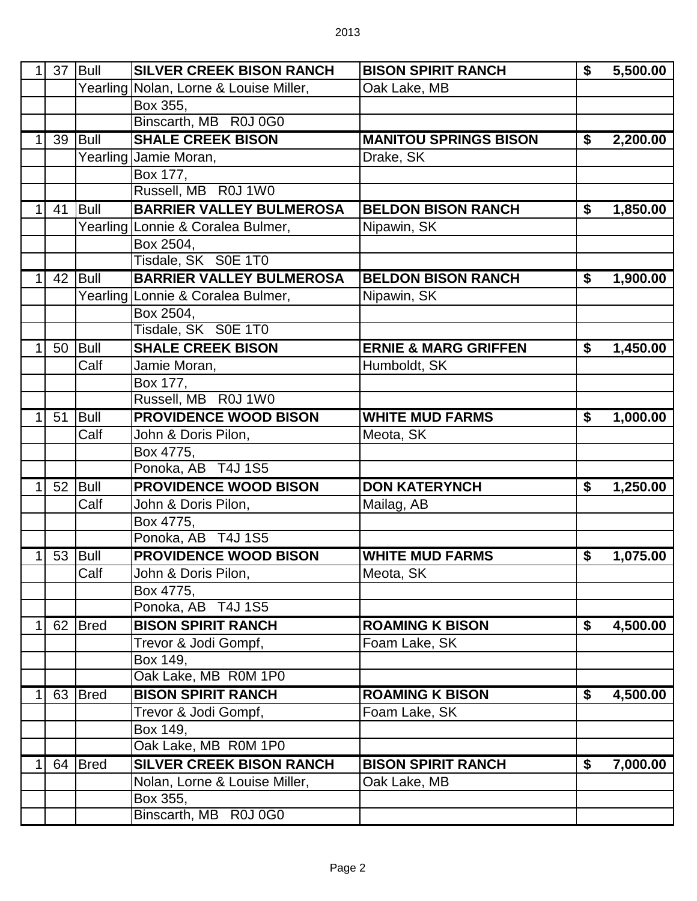| 1 | 37 | Bull        | <b>SILVER CREEK BISON RANCH</b>        | <b>BISON SPIRIT RANCH</b>       | \$<br>5,500.00 |
|---|----|-------------|----------------------------------------|---------------------------------|----------------|
|   |    |             | Yearling Nolan, Lorne & Louise Miller, | Oak Lake, MB                    |                |
|   |    |             | Box 355,                               |                                 |                |
|   |    |             | Binscarth, MB R0J 0G0                  |                                 |                |
|   | 39 | Bull        | <b>SHALE CREEK BISON</b>               | <b>MANITOU SPRINGS BISON</b>    | \$<br>2,200.00 |
|   |    |             | Yearling Jamie Moran,                  | Drake, SK                       |                |
|   |    |             | Box 177,                               |                                 |                |
|   |    |             | Russell, MB R0J 1W0                    |                                 |                |
| 1 | 41 | Bull        | <b>BARRIER VALLEY BULMEROSA</b>        | <b>BELDON BISON RANCH</b>       | \$<br>1,850.00 |
|   |    |             | Yearling Lonnie & Coralea Bulmer,      | Nipawin, SK                     |                |
|   |    |             | Box 2504,                              |                                 |                |
|   |    |             | Tisdale, SK S0E 1T0                    |                                 |                |
| 1 | 42 | <b>Bull</b> | <b>BARRIER VALLEY BULMEROSA</b>        | <b>BELDON BISON RANCH</b>       | \$<br>1,900.00 |
|   |    |             | Yearling Lonnie & Coralea Bulmer,      | Nipawin, SK                     |                |
|   |    |             | Box 2504,                              |                                 |                |
|   |    |             | Tisdale, SK S0E 1T0                    |                                 |                |
| 1 | 50 | Bull        | <b>SHALE CREEK BISON</b>               | <b>ERNIE &amp; MARG GRIFFEN</b> | \$<br>1,450.00 |
|   |    | Calf        | Jamie Moran,                           | Humboldt, SK                    |                |
|   |    |             | Box 177,                               |                                 |                |
|   |    |             | Russell, MB R0J 1W0                    |                                 |                |
| 1 | 51 | Bull        | <b>PROVIDENCE WOOD BISON</b>           | <b>WHITE MUD FARMS</b>          | \$<br>1,000.00 |
|   |    | Calf        | John & Doris Pilon,                    | Meota, SK                       |                |
|   |    |             | Box 4775,                              |                                 |                |
|   |    |             | Ponoka, AB T4J 1S5                     |                                 |                |
| 1 | 52 | Bull        | <b>PROVIDENCE WOOD BISON</b>           | <b>DON KATERYNCH</b>            | \$<br>1,250.00 |
|   |    | Calf        | John & Doris Pilon,                    | Mailag, AB                      |                |
|   |    |             | Box 4775,                              |                                 |                |
|   |    |             | Ponoka, AB T4J 1S5                     |                                 |                |
| 1 | 53 | Bull        | <b>PROVIDENCE WOOD BISON</b>           | <b>WHITE MUD FARMS</b>          | \$<br>1,075.00 |
|   |    | Calf        | John & Doris Pilon,                    | Meota, SK                       |                |
|   |    |             | Box 4775,                              |                                 |                |
|   |    |             | Ponoka, AB T4J 1S5                     |                                 |                |
| 1 | 62 | <b>Bred</b> | <b>BISON SPIRIT RANCH</b>              | <b>ROAMING K BISON</b>          | \$<br>4,500.00 |
|   |    |             | Trevor & Jodi Gompf,                   | Foam Lake, SK                   |                |
|   |    |             | Box 149,                               |                                 |                |
|   |    |             | Oak Lake, MB R0M 1P0                   |                                 |                |
| 1 | 63 | <b>Bred</b> | <b>BISON SPIRIT RANCH</b>              | <b>ROAMING K BISON</b>          | \$<br>4,500.00 |
|   |    |             | Trevor & Jodi Gompf,                   | Foam Lake, SK                   |                |
|   |    |             | Box 149,                               |                                 |                |
|   |    |             | Oak Lake, MB R0M 1P0                   |                                 |                |
| 1 | 64 | <b>Bred</b> | <b>SILVER CREEK BISON RANCH</b>        | <b>BISON SPIRIT RANCH</b>       | \$<br>7,000.00 |
|   |    |             | Nolan, Lorne & Louise Miller,          | Oak Lake, MB                    |                |
|   |    |             | Box 355,                               |                                 |                |
|   |    |             | Binscarth, MB R0J 0G0                  |                                 |                |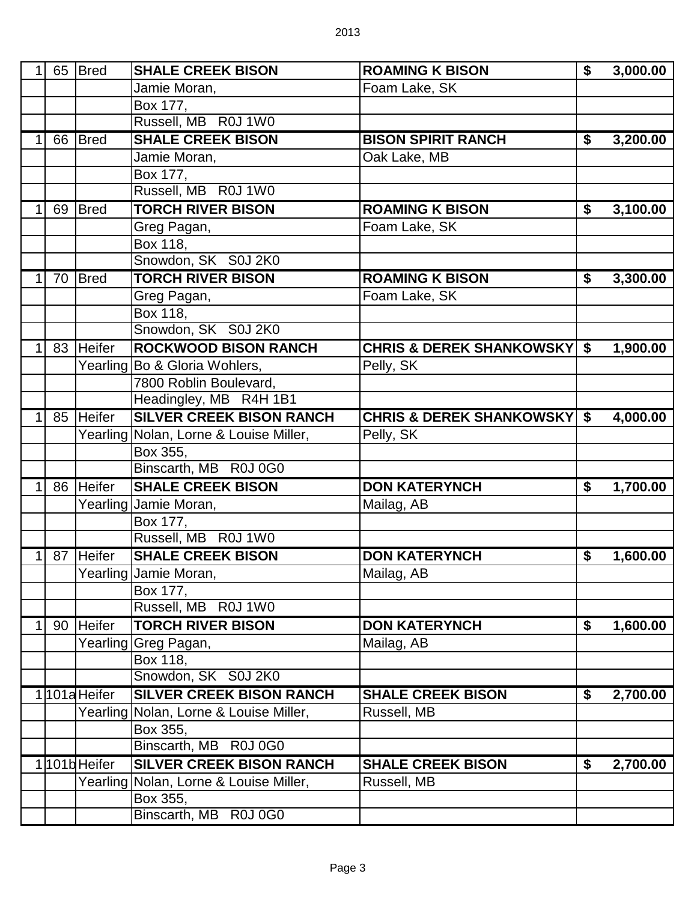|   |    | 65 Bred       | <b>SHALE CREEK BISON</b>          | <b>ROAMING K BISON</b>                   | \$<br>3,000.00 |
|---|----|---------------|-----------------------------------|------------------------------------------|----------------|
|   |    |               | Jamie Moran,                      | Foam Lake, SK                            |                |
|   |    |               | Box 177,                          |                                          |                |
|   |    |               | Russell, MB R0J 1W0               |                                          |                |
|   |    | 66 Bred       | <b>SHALE CREEK BISON</b>          | <b>BISON SPIRIT RANCH</b>                | \$<br>3,200.00 |
|   |    |               | Jamie Moran,                      | Oak Lake, MB                             |                |
|   |    |               | Box 177,                          |                                          |                |
|   |    |               | Russell, MB R0J 1W0               |                                          |                |
| 1 | 69 | <b>I</b> Bred | <b>TORCH RIVER BISON</b>          | <b>ROAMING K BISON</b>                   | \$<br>3,100.00 |
|   |    |               | Greg Pagan,                       | Foam Lake, SK                            |                |
|   |    |               | Box 118,                          |                                          |                |
|   |    |               | Snowdon, SK S0J 2K0               |                                          |                |
| 1 | 70 | <b>Bred</b>   | <b>TORCH RIVER BISON</b>          | <b>ROAMING K BISON</b>                   | \$<br>3,300.00 |
|   |    |               | Greg Pagan,                       | Foam Lake, SK                            |                |
|   |    |               | Box 118,                          |                                          |                |
|   |    |               | Snowdon, SK S0J 2K0               |                                          |                |
| 1 |    | 83 Heifer     | <b>ROCKWOOD BISON RANCH</b>       | <b>CHRIS &amp; DEREK SHANKOWSKY   \$</b> | 1,900.00       |
|   |    | Yearling      | Bo & Gloria Wohlers,              | Pelly, SK                                |                |
|   |    |               | 7800 Roblin Boulevard,            |                                          |                |
|   |    |               | Headingley, MB R4H 1B1            |                                          |                |
| 1 |    | 85 Heifer     | <b>SILVER CREEK BISON RANCH</b>   | <b>CHRIS &amp; DEREK SHANKOWSKY   \$</b> | 4,000.00       |
|   |    | Yearling      | Nolan, Lorne & Louise Miller,     | Pelly, SK                                |                |
|   |    |               | Box 355,                          |                                          |                |
|   |    |               | Binscarth, MB R0J 0G0             |                                          |                |
|   |    | 86 Heifer     | <b>SHALE CREEK BISON</b>          | <b>DON KATERYNCH</b>                     | \$<br>1,700.00 |
|   |    |               | Yearling Jamie Moran,             | Mailag, AB                               |                |
|   |    |               | Box 177,                          |                                          |                |
|   |    |               | Russell, MB R0J 1W0               |                                          |                |
|   |    | 87 Heifer     | <b>SHALE CREEK BISON</b>          | <b>DON KATERYNCH</b>                     | \$<br>1,600.00 |
|   |    |               | Yearling Jamie Moran,             | Mailag, AB                               |                |
|   |    |               | Box 177,                          |                                          |                |
|   |    |               | Russell, MB R0J 1W0               |                                          |                |
| 1 |    | 90 Heifer     | <b>TORCH RIVER BISON</b>          | <b>DON KATERYNCH</b>                     | \$<br>1,600.00 |
|   |    |               | Yearling Greg Pagan,              | Mailag, AB                               |                |
|   |    |               | Box 118,                          |                                          |                |
|   |    |               | Snowdon, SK S0J 2K0               |                                          |                |
|   |    | 1101a Heifer  | <b>SILVER CREEK BISON RANCH</b>   | <b>SHALE CREEK BISON</b>                 | \$<br>2,700.00 |
|   |    | Yearling      | Nolan, Lorne & Louise Miller,     | Russell, MB                              |                |
|   |    |               | Box 355,                          |                                          |                |
|   |    |               | Binscarth, MB R0J 0G0             |                                          |                |
|   |    | 1101bHeifer   | <b>SILVER CREEK BISON RANCH</b>   | <b>SHALE CREEK BISON</b>                 | \$<br>2,700.00 |
|   |    | Yearling      | Nolan, Lorne & Louise Miller,     | Russell, MB                              |                |
|   |    |               |                                   |                                          |                |
|   |    |               | Box 355,<br>Binscarth, MB R0J 0G0 |                                          |                |